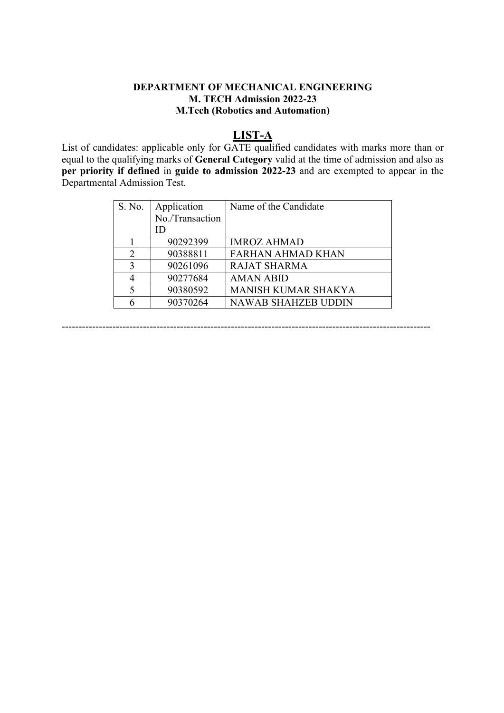### **DEPARTMENT OF MECHANICAL ENGINEERING M. TECH Admission 2022-23 M.Tech (Robotics and Automation)**

# **LIST-A**

List of candidates: applicable only for GATE qualified candidates with marks more than or equal to the qualifying marks of **General Category** valid at the time of admission and also as **per priority if defined** in **guide to admission 2022-23** and are exempted to appear in the Departmental Admission Test.

| S. No.         | Application     | Name of the Candidate      |
|----------------|-----------------|----------------------------|
|                | No./Transaction |                            |
|                | ID              |                            |
|                | 90292399        | <b>IMROZ AHMAD</b>         |
| $\overline{2}$ | 90388811        | <b>FARHAN AHMAD KHAN</b>   |
| 3              | 90261096        | <b>RAJAT SHARMA</b>        |
|                | 90277684        | <b>AMAN ABID</b>           |
| 5              | 90380592        | <b>MANISH KUMAR SHAKYA</b> |
|                | 90370264        | <b>NAWAB SHAHZEB UDDIN</b> |

-------------------------------------------------------------------------------------------------------------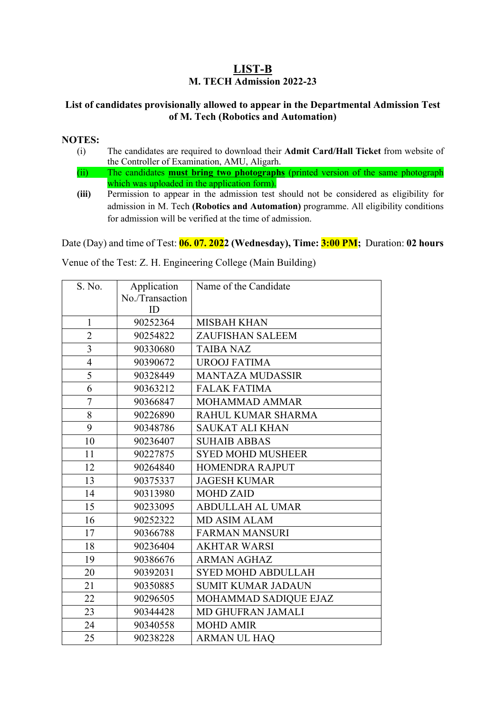## **LIST-B M. TECH Admission 2022-23**

### **List of candidates provisionally allowed to appear in the Departmental Admission Test of M. Tech (Robotics and Automation)**

#### **NOTES:**

- (i) The candidates are required to download their **Admit Card/Hall Ticket** from website of the Controller of Examination, AMU, Aligarh.
- (ii) The candidates **must bring two photographs** (printed version of the same photograph which was uploaded in the application form).
- **(iii)** Permission to appear in the admission test should not be considered as eligibility for admission in M. Tech **(Robotics and Automation)** programme. All eligibility conditions for admission will be verified at the time of admission.

Date (Day) and time of Test: **06. 07. 2022 (Wednesday), Time: 3:00 PM;** Duration: **02 hours**

| S. No.         | Application     | Name of the Candidate     |  |
|----------------|-----------------|---------------------------|--|
|                | No./Transaction |                           |  |
|                | ID              |                           |  |
| $\mathbf{1}$   | 90252364        | <b>MISBAH KHAN</b>        |  |
| $\overline{2}$ | 90254822        | <b>ZAUFISHAN SALEEM</b>   |  |
| $\overline{3}$ | 90330680        | <b>TAIBA NAZ</b>          |  |
| $\overline{4}$ | 90390672        | <b>UROOJ FATIMA</b>       |  |
| 5              | 90328449        | <b>MANTAZA MUDASSIR</b>   |  |
| 6              | 90363212        | <b>FALAK FATIMA</b>       |  |
| $\overline{7}$ | 90366847        | <b>MOHAMMAD AMMAR</b>     |  |
| 8              | 90226890        | RAHUL KUMAR SHARMA        |  |
| 9              | 90348786        | <b>SAUKAT ALI KHAN</b>    |  |
| 10             | 90236407        | <b>SUHAIB ABBAS</b>       |  |
| 11             | 90227875        | <b>SYED MOHD MUSHEER</b>  |  |
| 12             | 90264840        | <b>HOMENDRA RAJPUT</b>    |  |
| 13             | 90375337        | <b>JAGESH KUMAR</b>       |  |
| 14             | 90313980        | <b>MOHD ZAID</b>          |  |
| 15             | 90233095        | <b>ABDULLAH AL UMAR</b>   |  |
| 16             | 90252322        | <b>MD ASIM ALAM</b>       |  |
| 17             | 90366788        | <b>FARMAN MANSURI</b>     |  |
| 18             | 90236404        | <b>AKHTAR WARSI</b>       |  |
| 19             | 90386676        | <b>ARMAN AGHAZ</b>        |  |
| 20             | 90392031        | <b>SYED MOHD ABDULLAH</b> |  |
| 21             | 90350885        | <b>SUMIT KUMAR JADAUN</b> |  |
| 22             | 90296505        | MOHAMMAD SADIQUE EJAZ     |  |
| 23             | 90344428        | MD GHUFRAN JAMALI         |  |
| 24             | 90340558        | <b>MOHD AMIR</b>          |  |
| 25             | 90238228        | <b>ARMAN UL HAO</b>       |  |

Venue of the Test: Z. H. Engineering College (Main Building)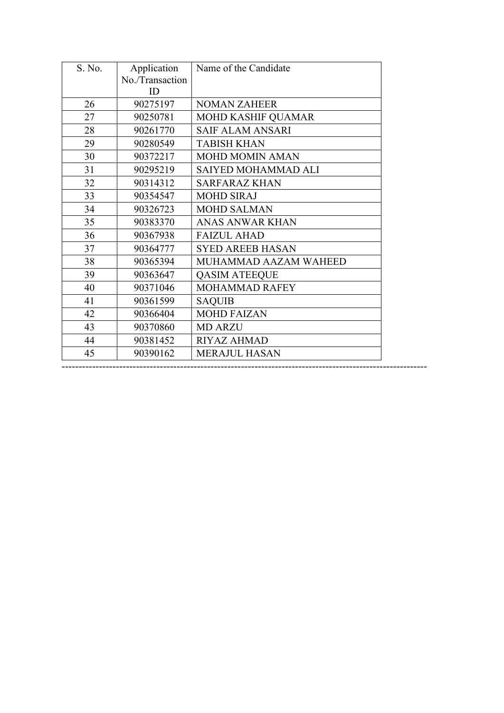| S. No. | Application     | Name of the Candidate     |  |
|--------|-----------------|---------------------------|--|
|        | No./Transaction |                           |  |
|        | ID              |                           |  |
| 26     | 90275197        | <b>NOMAN ZAHEER</b>       |  |
| 27     | 90250781        | <b>MOHD KASHIF QUAMAR</b> |  |
| 28     | 90261770        | <b>SAIF ALAM ANSARI</b>   |  |
| 29     | 90280549        | <b>TABISH KHAN</b>        |  |
| 30     | 90372217        | <b>MOHD MOMIN AMAN</b>    |  |
| 31     | 90295219        | SAIYED MOHAMMAD ALI       |  |
| 32     | 90314312        | <b>SARFARAZ KHAN</b>      |  |
| 33     | 90354547        | <b>MOHD SIRAJ</b>         |  |
| 34     | 90326723        | <b>MOHD SALMAN</b>        |  |
| 35     | 90383370        | <b>ANAS ANWAR KHAN</b>    |  |
| 36     | 90367938        | <b>FAIZUL AHAD</b>        |  |
| 37     | 90364777        | <b>SYED AREEB HASAN</b>   |  |
| 38     | 90365394        | MUHAMMAD AAZAM WAHEED     |  |
| 39     | 90363647        | <b>QASIM ATEEQUE</b>      |  |
| 40     | 90371046        | MOHAMMAD RAFEY            |  |
| 41     | 90361599        | <b>SAQUIB</b>             |  |
| 42     | 90366404        | <b>MOHD FAIZAN</b>        |  |
| 43     | 90370860        | <b>MD ARZU</b>            |  |
| 44     | 90381452        | <b>RIYAZ AHMAD</b>        |  |
| 45     | 90390162        | <b>MERAJUL HASAN</b>      |  |

------------------------------------------------------------------------------------------------------------